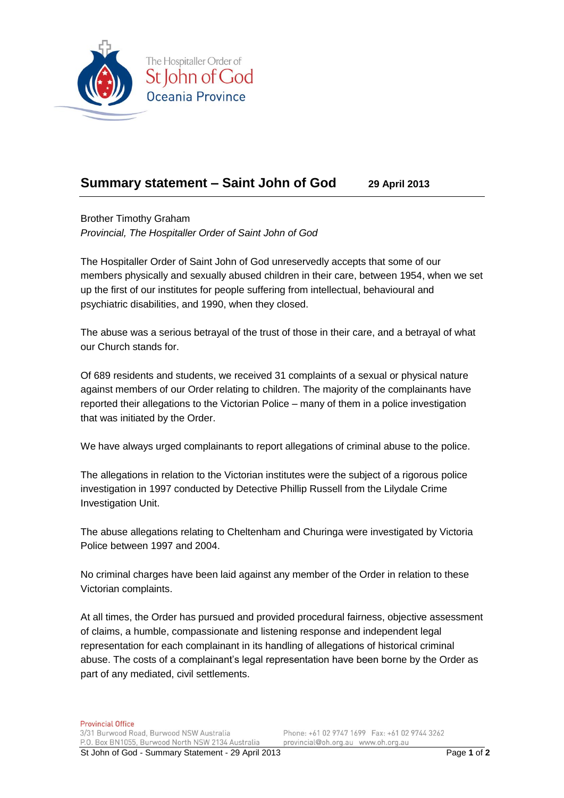

## **Summary statement – Saint John of God 29 April 2013**

Brother Timothy Graham *Provincial, The Hospitaller Order of Saint John of God*

The Hospitaller Order of Saint John of God unreservedly accepts that some of our members physically and sexually abused children in their care, between 1954, when we set up the first of our institutes for people suffering from intellectual, behavioural and psychiatric disabilities, and 1990, when they closed.

The abuse was a serious betrayal of the trust of those in their care, and a betrayal of what our Church stands for.

Of 689 residents and students, we received 31 complaints of a sexual or physical nature against members of our Order relating to children. The majority of the complainants have reported their allegations to the Victorian Police – many of them in a police investigation that was initiated by the Order.

We have always urged complainants to report allegations of criminal abuse to the police.

The allegations in relation to the Victorian institutes were the subject of a rigorous police investigation in 1997 conducted by Detective Phillip Russell from the Lilydale Crime Investigation Unit.

The abuse allegations relating to Cheltenham and Churinga were investigated by Victoria Police between 1997 and 2004.

No criminal charges have been laid against any member of the Order in relation to these Victorian complaints.

At all times, the Order has pursued and provided procedural fairness, objective assessment of claims, a humble, compassionate and listening response and independent legal representation for each complainant in its handling of allegations of historical criminal abuse. The costs of a complainant's legal representation have been borne by the Order as part of any mediated, civil settlements.

Phone: +61 02 9747 1699 Fax: +61 02 9744 3262 provincial@oh.org.au www.oh.org.au